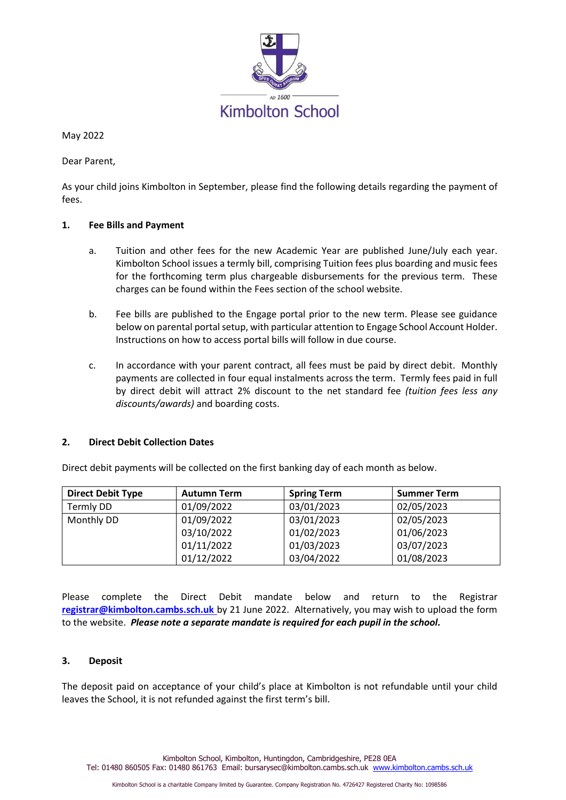

May 2022

Dear Parent,

As your child joins Kimbolton in September, please find the following details regarding the payment of fees.

# **1. Fee Bills and Payment**

- a. Tuition and other fees for the new Academic Year are published June/July each year. Kimbolton School issues a termly bill, comprising Tuition fees plus boarding and music fees for the forthcoming term plus chargeable disbursements for the previous term. These charges can be found within the Fees section of the school website.
- b. Fee bills are published to the Engage portal prior to the new term. Please see guidance below on parental portal setup, with particular attention to Engage School Account Holder. Instructions on how to access portal bills will follow in due course.
- c. In accordance with your parent contract, all fees must be paid by direct debit. Monthly payments are collected in four equal instalments across the term. Termly fees paid in full by direct debit will attract 2% discount to the net standard fee *(tuition fees less any discounts/awards)* and boarding costs.

#### **2. Direct Debit Collection Dates**

| <b>Direct Debit Type</b> | <b>Autumn Term</b> | <b>Spring Term</b> | <b>Summer Term</b> |  |  |  |  |  |  |  |  |  |
|--------------------------|--------------------|--------------------|--------------------|--|--|--|--|--|--|--|--|--|
| Termly DD                | 01/09/2022         | 03/01/2023         | 02/05/2023         |  |  |  |  |  |  |  |  |  |
| Monthly DD               | 01/09/2022         | 03/01/2023         | 02/05/2023         |  |  |  |  |  |  |  |  |  |
|                          | 03/10/2022         | 01/02/2023         | 01/06/2023         |  |  |  |  |  |  |  |  |  |

Direct debit payments will be collected on the first banking day of each month as below.

03/10/2022 01/11/2022 01/12/2022

Please complete the Direct Debit mandate below and return to the Registrar **[registrar@kimbolton.cambs.sch.uk](mailto:registrar@kimbolton.cambs.sch.uk)** by 21 June 2022. Alternatively, you may wish to upload the form to the website.*Please note a separate mandate is required for each pupil in the school.*

01/02/2023 01/03/2023 03/04/2022

03/07/2023 01/08/2023

#### **3. Deposit**

The deposit paid on acceptance of your child's place at Kimbolton is not refundable until your child leaves the School, it is not refunded against the first term's bill.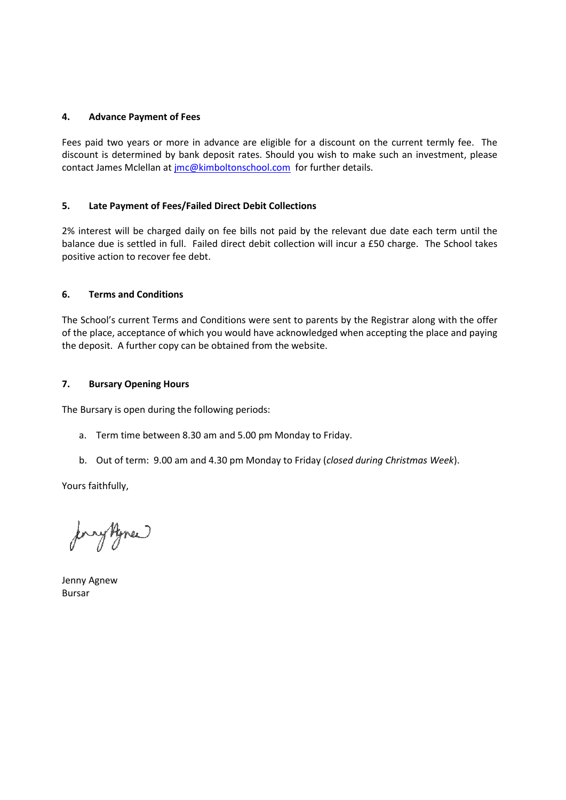#### **4. Advance Payment of Fees**

Fees paid two years or more in advance are eligible for a discount on the current termly fee. The discount is determined by bank deposit rates. Should you wish to make such an investment, please contact James Mclellan at [jmc@kimboltonschool.com](mailto:jmc@kimboltonschool.com) for further details.

#### **5. Late Payment of Fees/Failed Direct Debit Collections**

2% interest will be charged daily on fee bills not paid by the relevant due date each term until the balance due is settled in full. Failed direct debit collection will incur a £50 charge. The School takes positive action to recover fee debt.

#### **6. Terms and Conditions**

The School's current Terms and Conditions were sent to parents by the Registrar along with the offer of the place, acceptance of which you would have acknowledged when accepting the place and paying the deposit. A further copy can be obtained from the website.

#### **7. Bursary Opening Hours**

The Bursary is open during the following periods:

- a. Term time between 8.30 am and 5.00 pm Monday to Friday.
- b. Out of term: 9.00 am and 4.30 pm Monday to Friday (*closed during Christmas Week*).

Yours faithfully,

ryhme

Jenny Agnew Bursar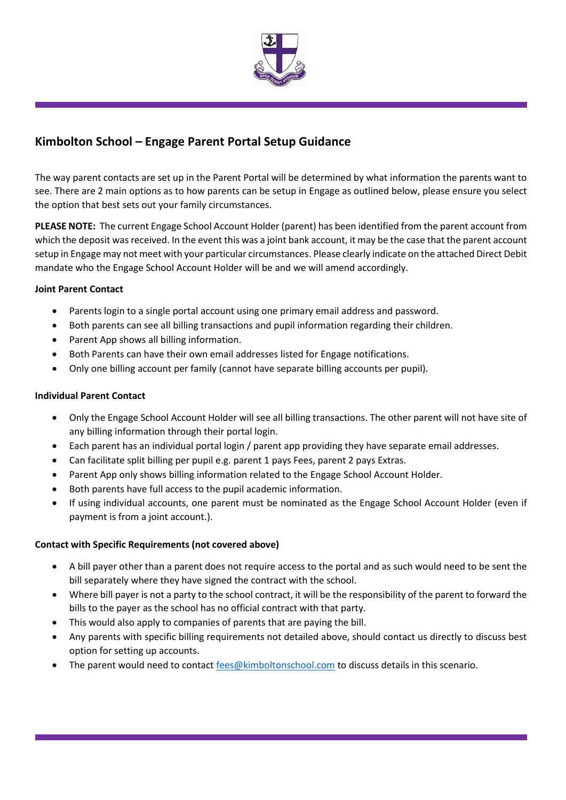

# **Kimbolton School – Engage Parent Portal Setup Guidance**

The way parent contacts are set up in the Parent Portal will be determined by what information the parents want to see. There are 2 main options as to how parents can be setup in Engage as outlined below, please ensure you select the option that best sets out your family circumstances.

**PLEASE NOTE:** The current Engage School Account Holder (parent) has been identified from the parent account from which the deposit was received. In the event this was a joint bank account, it may be the case that the parent account setup in Engage may not meet with your particular circumstances. Please clearly indicate on the attached Direct Debit mandate who the Engage School Account Holder will be and we will amend accordingly.

# **Joint Parent Contact**

- Parents login to a single portal account using one primary email address and password.
- Both parents can see all billing transactions and pupil information regarding their children.
- Parent App shows all billing information.
- Both Parents can have their own email addresses listed for Engage notifications.
- Only one billing account per family (cannot have separate billing accounts per pupil).

# **Individual Parent Contact**

- Only the Engage School Account Holder will see all billing transactions. The other parent will not have site of any billing information through their portal login.
- Each parent has an individual portal login / parent app providing they have separate email addresses.
- Can facilitate split billing per pupil e.g. parent 1 pays Fees, parent 2 pays Extras.
- Parent App only shows billing information related to the Engage School Account Holder.
- Both parents have full access to the pupil academic information.
- If using individual accounts, one parent must be nominated as the Engage School Account Holder (even if payment is from a joint account.).

# **Contact with Specific Requirements (not covered above)**

- A bill payer other than a parent does not require access to the portal and as such would need to be sent the bill separately where they have signed the contract with the school.
- Where bill payer is not a party to the school contract, it will be the responsibility of the parent to forward the bills to the payer as the school has no official contract with that party.
- This would also apply to companies of parents that are paying the bill.
- Any parents with specific billing requirements not detailed above, should contact us directly to discuss best option for setting up accounts.
- The parent would need to contact [fees@kimboltonschool.com](mailto:fees@kimboltonschool.com) to discuss details in this scenario.